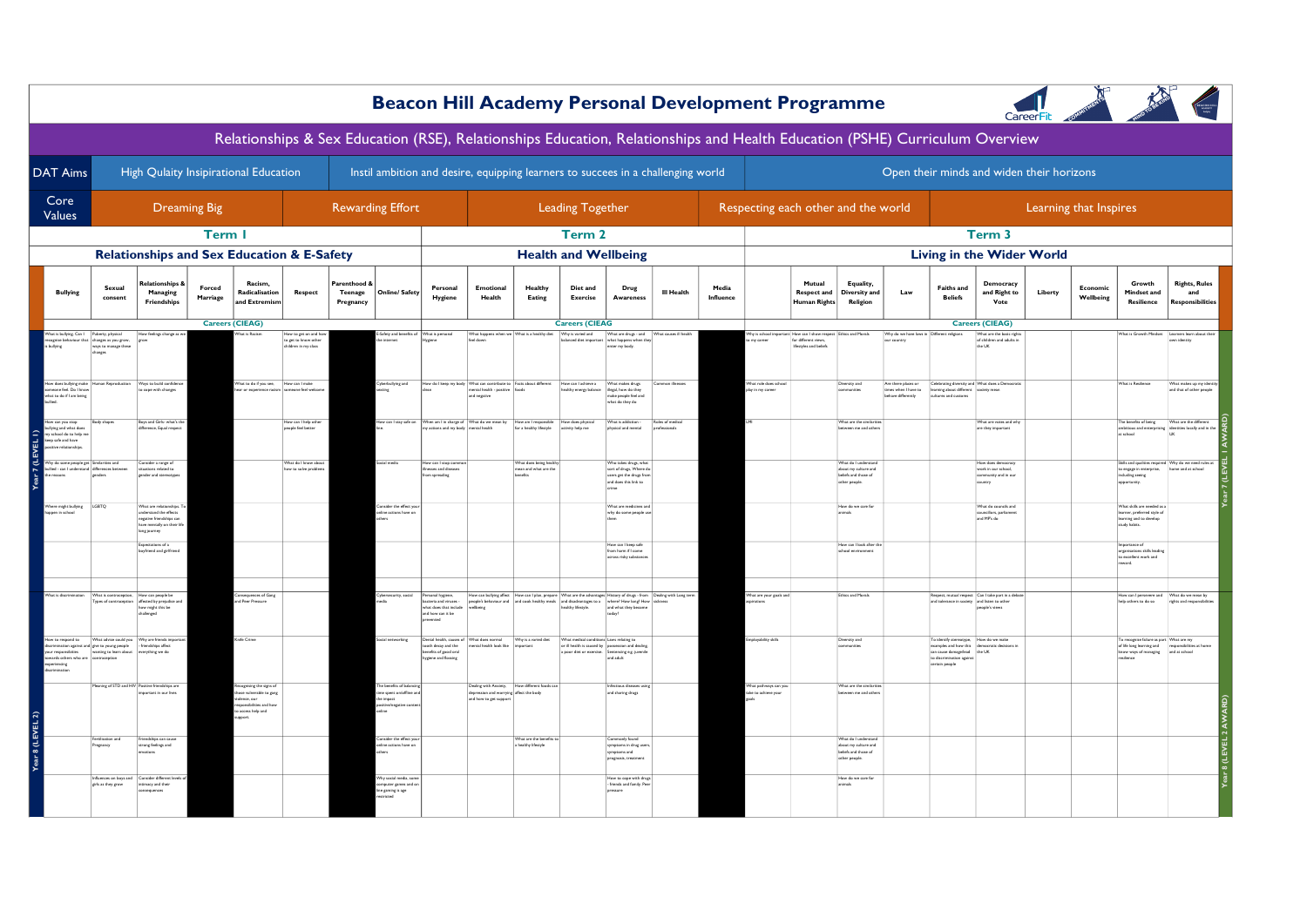|                                                                                                  |                                                                                                                                          |                                                                                                                         |                           |                                                                                                                             |                                                                 |                                           |                                                                                                  |                                                                                                  |                                                                                                                     |                                                            |                                          | <b>Beacon Hill Academy Personal Development Programme</b>                                                                                                                                                                                                     |                  |                    |                                               |                                                     |                                                                                      |                                                                   |                                                                                                                                                 |                                                                             |         |                        |                                                                                                                                                         |                                                                                   |
|--------------------------------------------------------------------------------------------------|------------------------------------------------------------------------------------------------------------------------------------------|-------------------------------------------------------------------------------------------------------------------------|---------------------------|-----------------------------------------------------------------------------------------------------------------------------|-----------------------------------------------------------------|-------------------------------------------|--------------------------------------------------------------------------------------------------|--------------------------------------------------------------------------------------------------|---------------------------------------------------------------------------------------------------------------------|------------------------------------------------------------|------------------------------------------|---------------------------------------------------------------------------------------------------------------------------------------------------------------------------------------------------------------------------------------------------------------|------------------|--------------------|-----------------------------------------------|-----------------------------------------------------|--------------------------------------------------------------------------------------|-------------------------------------------------------------------|-------------------------------------------------------------------------------------------------------------------------------------------------|-----------------------------------------------------------------------------|---------|------------------------|---------------------------------------------------------------------------------------------------------------------------------------------------------|-----------------------------------------------------------------------------------|
|                                                                                                  |                                                                                                                                          |                                                                                                                         |                           | Relationships & Sex Education (RSE), Relationships Education, Relationships and Health Education (PSHE) Curriculum Overview |                                                                 |                                           |                                                                                                  |                                                                                                  |                                                                                                                     |                                                            |                                          |                                                                                                                                                                                                                                                               |                  |                    |                                               |                                                     |                                                                                      |                                                                   |                                                                                                                                                 |                                                                             |         |                        |                                                                                                                                                         |                                                                                   |
| <b>DAT Aims</b>                                                                                  |                                                                                                                                          |                                                                                                                         |                           | High Qulaity Insipirational Education                                                                                       |                                                                 |                                           |                                                                                                  |                                                                                                  |                                                                                                                     |                                                            |                                          | Instil ambition and desire, equipping learners to succees in a challenging world                                                                                                                                                                              |                  |                    |                                               |                                                     |                                                                                      |                                                                   |                                                                                                                                                 | Open their minds and widen their horizons                                   |         |                        |                                                                                                                                                         |                                                                                   |
| Core<br><b>Values</b>                                                                            |                                                                                                                                          |                                                                                                                         | <b>Dreaming Big</b>       |                                                                                                                             |                                                                 |                                           | <b>Rewarding Effort</b>                                                                          |                                                                                                  |                                                                                                                     |                                                            | <b>Leading Together</b>                  |                                                                                                                                                                                                                                                               |                  |                    | Respecting each other and the world           |                                                     |                                                                                      |                                                                   |                                                                                                                                                 |                                                                             |         | Learning that Inspires |                                                                                                                                                         |                                                                                   |
|                                                                                                  |                                                                                                                                          |                                                                                                                         | <b>Term I</b>             |                                                                                                                             |                                                                 |                                           |                                                                                                  |                                                                                                  |                                                                                                                     |                                                            | Term 2                                   |                                                                                                                                                                                                                                                               |                  |                    |                                               |                                                     |                                                                                      |                                                                   |                                                                                                                                                 | Term <sub>3</sub>                                                           |         |                        |                                                                                                                                                         |                                                                                   |
|                                                                                                  |                                                                                                                                          |                                                                                                                         |                           | <b>Relationships and Sex Education &amp; E-Safety</b>                                                                       |                                                                 |                                           |                                                                                                  |                                                                                                  |                                                                                                                     |                                                            |                                          | <b>Health and Wellbeing</b>                                                                                                                                                                                                                                   |                  |                    |                                               |                                                     |                                                                                      |                                                                   |                                                                                                                                                 | <b>Living in the Wider World</b>                                            |         |                        |                                                                                                                                                         |                                                                                   |
| <b>Bullying</b>                                                                                  | Sexual<br>consent                                                                                                                        | elationships<br>Managing<br>Friendships                                                                                 | <b>Forced</b><br>Marriage | Racism.<br>Radicalisation<br>and Extremisr                                                                                  | <b>Respect</b>                                                  | Parenthood<br><b>Teenage</b><br>Pregnancy | Online/ Safety                                                                                   | Personal<br>Hygiene                                                                              | Emotional<br>Health                                                                                                 | Healthy<br>Eating                                          | Diet and<br><b>Exercise</b>              | Drug<br>Awareness                                                                                                                                                                                                                                             | III Health       | Media<br>Influence |                                               | Mutual<br><b>Respect and</b><br>Human Rights        | Equality,<br>Diversity and<br>Religion                                               | Law                                                               | <b>Faiths and</b><br><b>Beliefs</b>                                                                                                             | <b>Democracy</b><br>and Right to<br>Vote                                    | Liberty | Economic<br>Wellbeing  | Growth<br>Mindset and<br>Resilience                                                                                                                     | <b>Rights, Rules</b><br>and<br><b>Responsibilities</b>                            |
|                                                                                                  |                                                                                                                                          |                                                                                                                         |                           | <b>Careers (CIEAG)</b>                                                                                                      |                                                                 |                                           |                                                                                                  |                                                                                                  |                                                                                                                     |                                                            | <b>Careers (CIEAG</b>                    |                                                                                                                                                                                                                                                               |                  |                    |                                               |                                                     |                                                                                      |                                                                   |                                                                                                                                                 | <b>Careers (CIEAG)</b>                                                      |         |                        |                                                                                                                                                         |                                                                                   |
| is bullying. Can I Puberty, physical                                                             | tise behaviour that changes as you grow.<br>ways to manage these<br>changes                                                              |                                                                                                                         |                           |                                                                                                                             | How to get on an<br>to get to know other<br>hildren in my class |                                           | nternet                                                                                          |                                                                                                  | feel down                                                                                                           |                                                            | Why is varied and                        | What are drugs - and<br>balanced diet important what happens when they<br>enter my body.                                                                                                                                                                      |                  |                    | my career                                     | for different views<br><b>Ifestyles and beliefs</b> |                                                                                      | our country                                                       |                                                                                                                                                 | Mhat are the basic righ<br>of children and adults in<br>the UK              |         |                        |                                                                                                                                                         | own identity                                                                      |
| low does bullying make<br>senne feel Dn Linny<br>what to do if I am being                        | man Reproduction                                                                                                                         | Ways to build confi-<br>cope with changes                                                                               |                           | That to do if you see, How can I make                                                                                       | manne fool wolco                                                |                                           | berbullying and<br>sting                                                                         |                                                                                                  | ow do I keep my body What can contribute to Facts about different<br>mental health - positive foods<br>and negative |                                                            | How can I achieve a                      | What makes drugs<br>healthy energy balance<br>make people feel and<br>make people feel and<br>what do they do                                                                                                                                                 | mon illnesse     |                    | What role does schoo<br>lay in my caree       |                                                     | Diversity and                                                                        | Are there places or<br>times when I have to<br>behave differently | Celebrating diversity and What does a Der<br>learning about different society mean<br>cultures and customs                                      |                                                                             |         |                        | What is Resilience                                                                                                                                      | What makes up my ide<br>and that of other people                                  |
| low can you stop<br>sullying and what does<br>ny school do to help me<br>eep safe and have       | Body shape                                                                                                                               | Boys and Girls- what's<br>difference, Equal respect                                                                     |                           |                                                                                                                             | How can I help other<br>people feel better                      |                                           | low can I stay safe or                                                                           | Mhen am I in charge of<br>actions and my body                                                    | What do we mean by<br>ental health                                                                                  | How am I responsible<br>for a healthy lifestyle            | How does physical<br>activity help me    | What is addiction<br>physical and mental                                                                                                                                                                                                                      | Roles of medical |                    |                                               |                                                     | What are the similari<br>between me and others                                       |                                                                   |                                                                                                                                                 | What are votes and wh<br>are they important                                 |         |                        | The benefits of being<br>at school                                                                                                                      | What are the different<br>ambitious and enterprising identities locally and in th |
| Vhy do some people get Similarities and<br>ullied - can I understand differences between         | renders                                                                                                                                  | Consider a range of<br>situations related to<br>sender and stereotype                                                   |                           |                                                                                                                             | What do I know about<br>how to solve problems                   |                                           | cial media                                                                                       | w can I stop o<br>esses and diseases<br>from spreading                                           |                                                                                                                     | What does being healt<br>mean and what are the<br>benefits |                                          | Who takes drugs, what<br>sort of drugs, Where do<br>users get the drugs from<br>and does this link to                                                                                                                                                         |                  |                    |                                               |                                                     | What do I understan<br>about my culture and<br>beliefs and those of<br>other people. |                                                                   |                                                                                                                                                 | How does democrac<br>work in our school,<br>community and in our<br>country |         |                        | Skills and qualities required Why do we need rule<br>to engage in enterprise,<br>including seeing $% \left\vert \psi _{i}\right\rangle$<br>opportunity. | home and at school                                                                |
| Where might bullying LGBTQ<br>gen in school                                                      |                                                                                                                                          | What are relationships<br>understand the effects<br>negative friendships ca<br>have mentally on their I<br>long journey |                           |                                                                                                                             |                                                                 |                                           | nsider the effect yo<br>line actions have o                                                      |                                                                                                  |                                                                                                                     |                                                            |                                          | What are medicines and<br>why do some people use                                                                                                                                                                                                              |                  |                    |                                               |                                                     | How do we care for<br>animals                                                        |                                                                   |                                                                                                                                                 | What do councils an<br>councillors, parliament<br>and MP's do               |         |                        | What skills are needed as<br>learner, preferred style of<br>learning and to develop<br>study habits.                                                    |                                                                                   |
|                                                                                                  |                                                                                                                                          | xpectations of a<br>boyfriend and girlfrien                                                                             |                           |                                                                                                                             |                                                                 |                                           |                                                                                                  |                                                                                                  |                                                                                                                     |                                                            |                                          | How can I keep safe<br>from harm if I come<br>cross risky substan                                                                                                                                                                                             |                  |                    |                                               |                                                     | How can I look after th<br>school environmen                                         |                                                                   |                                                                                                                                                 |                                                                             |         |                        | Importance of<br>organisations skills leading<br>to excellent work and                                                                                  |                                                                                   |
| hat is discrimination                                                                            | What is contraception, How can people be                                                                                                 | Types of contraception affected by prejudice an<br>how might this be<br>challenged                                      |                           | onsequences of Gang<br>nd Peer Pressure                                                                                     |                                                                 |                                           | bersecurity, social                                                                              | Personal hygiene,<br>teria and viruses -<br>what does that include<br>and how can it be<br>ented | velbeing                                                                                                            |                                                            | healthy lifestyle.                       | How can bullying affect How can I plan, prepare What are the advantages History of drugs - from Dealing with Long term<br>people's behaviour and and cook healthy meals and disadvantages to a where? How long? How sicknes<br>and what they become<br>today? |                  |                    | Mhat are your goals and                       |                                                     | Ethics and Morals                                                                    |                                                                   | and tolerance in society and listen to other                                                                                                    | Respect, mutual respect Can I take part in a debat<br>people's views        |         |                        | help others to do so                                                                                                                                    | rights and rea                                                                    |
| w to respond to<br>our responsibities<br>wards others who are contraception<br>smini<br>ninarine | What advice could you Why are friends impo<br>mination against and give to young people $-$ friendships affect<br>wanting to learn about | erything we do                                                                                                          |                           | <b>Cnife Crime</b>                                                                                                          |                                                                 |                                           | snowowan lais                                                                                    | ental health, causes of<br>ooth decay and the<br>benefits of good oral<br>hygiene and flossing   | What does normal<br>anti Vool disaati kees                                                                          | Why is a varied diet                                       | What medical conditions Laws relating to | or ill health is caused by possession and dealing<br>a poor diet or exercise. Sentencing e.g. juvenile<br>and adult                                                                                                                                           |                  |                    | mployability skills                           |                                                     | Diversity and                                                                        |                                                                   | To identify stereotype,<br>examples and how this democratic decisions in<br>can cause damage/lead the UK<br>to discrimination<br>certain people | How do we make                                                              |         |                        | To recognise failure as part What are my<br>of life long learning and<br>know ways of managing<br>resiliance                                            | responsibilities at h<br>and at school                                            |
|                                                                                                  |                                                                                                                                          | Meaning of STD and HIV Positive friendships are<br>nportant in our liver                                                |                           | acognising the signs of<br>ose vulnerable to gang<br>plence, our<br>sponsibilities and how<br>access help and               |                                                                 |                                           | e benefits of bala<br>me spent on/offline an<br>e impact<br>sitivalnegative<br>anin <sub>o</sub> |                                                                                                  | Dealing with Anxiety, How different foods ca<br>depression and worrying affect the body<br>and how to get support   |                                                            |                                          | Infectious diseases usin<br>and sharing drugs                                                                                                                                                                                                                 |                  |                    | What pathways can you<br>take to achieve your |                                                     | What are the similaritie<br>between me and other                                     |                                                                   |                                                                                                                                                 |                                                                             |         |                        |                                                                                                                                                         |                                                                                   |
|                                                                                                  | Pregnancy                                                                                                                                | ndships can caus<br>strong feelings and                                                                                 |                           |                                                                                                                             |                                                                 |                                           | sider the effect<br>inline actions have on<br>ithers                                             |                                                                                                  |                                                                                                                     | What are the benefits<br>a healthy lifestyle               |                                          | Commonly four<br>symptoms in drug users,<br>symptoms and<br>prognosis, treatment                                                                                                                                                                              |                  |                    |                                               |                                                     | What do I understan<br>about my culture and<br>beliefs and those of<br>other people. |                                                                   |                                                                                                                                                 |                                                                             |         |                        |                                                                                                                                                         |                                                                                   |
|                                                                                                  | Influences on boys and Consider different lev<br>girls as they grow                                                                      | intimacy and their<br>wouences                                                                                          |                           |                                                                                                                             |                                                                 |                                           | hy social media, sor<br>rputer games and o<br>se gaming is age                                   |                                                                                                  |                                                                                                                     |                                                            |                                          | How to cope with drug<br>- friends and family. Peer                                                                                                                                                                                                           |                  |                    |                                               |                                                     | How do we care for                                                                   |                                                                   |                                                                                                                                                 |                                                                             |         |                        |                                                                                                                                                         |                                                                                   |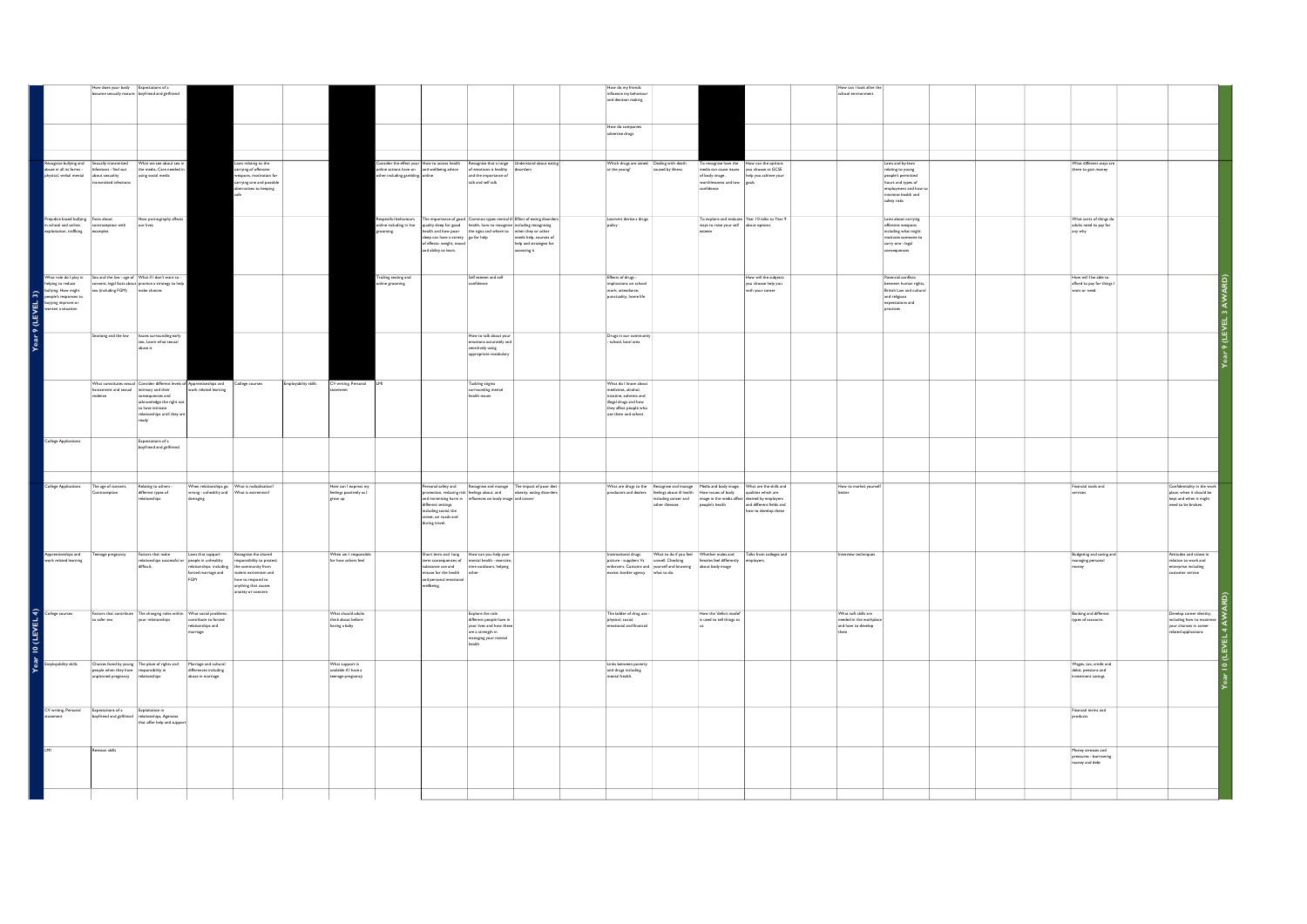|                                              | How does your body Expectations of a                                                                                                                                                              | become sexually mature boyfriend and girlfriend                                                                                                                                                                                            |                                                                                                                                                                       |                                                                                                                                  |                      |                                                               |                                                           |                                                                                           |                                                                                                                                                                                                                                                                                                                                                                   | How do my friends<br>influence my behaviour<br>and decision making                                                                              |                                                                                                                                                                                                                                                                                                                                                                                                                                                                                                                                                                                                                                                                                                |                                                                                                                                                      |                                                                                                    | How can I look after the<br>school environment                        |                                                                                                                            |                                                                     |                                                                                                          |
|----------------------------------------------|---------------------------------------------------------------------------------------------------------------------------------------------------------------------------------------------------|--------------------------------------------------------------------------------------------------------------------------------------------------------------------------------------------------------------------------------------------|-----------------------------------------------------------------------------------------------------------------------------------------------------------------------|----------------------------------------------------------------------------------------------------------------------------------|----------------------|---------------------------------------------------------------|-----------------------------------------------------------|-------------------------------------------------------------------------------------------|-------------------------------------------------------------------------------------------------------------------------------------------------------------------------------------------------------------------------------------------------------------------------------------------------------------------------------------------------------------------|-------------------------------------------------------------------------------------------------------------------------------------------------|------------------------------------------------------------------------------------------------------------------------------------------------------------------------------------------------------------------------------------------------------------------------------------------------------------------------------------------------------------------------------------------------------------------------------------------------------------------------------------------------------------------------------------------------------------------------------------------------------------------------------------------------------------------------------------------------|------------------------------------------------------------------------------------------------------------------------------------------------------|----------------------------------------------------------------------------------------------------|-----------------------------------------------------------------------|----------------------------------------------------------------------------------------------------------------------------|---------------------------------------------------------------------|----------------------------------------------------------------------------------------------------------|
|                                              |                                                                                                                                                                                                   |                                                                                                                                                                                                                                            |                                                                                                                                                                       |                                                                                                                                  |                      |                                                               |                                                           |                                                                                           |                                                                                                                                                                                                                                                                                                                                                                   | How do companies<br>advertise drugs                                                                                                             |                                                                                                                                                                                                                                                                                                                                                                                                                                                                                                                                                                                                                                                                                                |                                                                                                                                                      |                                                                                                    |                                                                       |                                                                                                                            |                                                                     |                                                                                                          |
|                                              | transmitted infections                                                                                                                                                                            | Recognise bullying and Sexually transmitted What we see about sex in<br>abuse in all its forms - Infections - find out the media, Care needed in<br>physical, verbal mental about sexuality<br>$\frac{1}{2}$ - security assumptions in the |                                                                                                                                                                       | Laws relating to the<br>carrying of offensive<br>weapons, motivation for<br>carrying one and possible<br>alternatives to keeping |                      |                                                               | insider the effect you<br>ther including gambling. online |                                                                                           | How to access health Recognise that a range Understand about eating<br>ntine actions have on and wellbeing advice of emotions is healthy disorders<br>ther including gambling coline and the importance of<br>talk and self talk                                                                                                                                  | at the young!                                                                                                                                   | Which drugs are aimed Dealing with death<br>caused by illness                                                                                                                                                                                                                                                                                                                                                                                                                                                                                                                                                                                                                                  | To recognise how the How can the options<br>media can cause issues you choose at GCSE<br>of body image,<br>worthlessness and low Poals<br>confidence | help you achieve your                                                                              |                                                                       | Laws and by-laws<br>relating to young<br>people's permitter<br>hours and types of<br>employment and how t                  | What different ways are<br>there to gain money                      |                                                                                                          |
| Prejudice based bullying Facts about         | in school and online, contraception with our lives exploitation, trafficing examples                                                                                                              | How pornography affects                                                                                                                                                                                                                    |                                                                                                                                                                       | safe                                                                                                                             |                      |                                                               | spectful behav<br>ine including in line                   |                                                                                           | e importance of good Common types mental ill Effect of eating disorders<br>quality sleep for good bealth, how to recognise including recognising<br>health and how poor the signs and where to when they or other                                                                                                                                                 | Learners devise a drugs<br>policy                                                                                                               |                                                                                                                                                                                                                                                                                                                                                                                                                                                                                                                                                                                                                                                                                                | ways to raise your self about options                                                                                                                | To explore and evaluate Year 10 talks to Year 9                                                    |                                                                       | minimise health and<br>safety risks<br>Laws about carrying<br>offensive weapons<br>including what might                    | What sorts of things do<br>adults need to pay for                   |                                                                                                          |
|                                              |                                                                                                                                                                                                   |                                                                                                                                                                                                                                            |                                                                                                                                                                       |                                                                                                                                  |                      |                                                               | spirroon                                                  | sleep can have a variety go for help<br>of effects- weight, mood<br>and ability to learn. | needs help, sources of<br>help and strategies for<br>accessing it                                                                                                                                                                                                                                                                                                 |                                                                                                                                                 |                                                                                                                                                                                                                                                                                                                                                                                                                                                                                                                                                                                                                                                                                                | esteem                                                                                                                                               |                                                                                                    |                                                                       | motivate someone to<br>carry one - legal<br>nsequences                                                                     | any why                                                             |                                                                                                          |
|                                              |                                                                                                                                                                                                   | What role do i play in $\frac{1}{2}$ size and the law -age of $\sqrt{Mn}$ if then<br>In higher the results of the control of the control of the state of the<br>analysis from engine.<br>Section (and colores) and a close of the law of t |                                                                                                                                                                       |                                                                                                                                  |                      |                                                               | bng sexting and<br>nline grooming                         |                                                                                           | Self esteem and self<br>confidence                                                                                                                                                                                                                                                                                                                                | Effects of drugs -<br>implications on school<br>work, attendance.<br>punctuality, home life                                                     |                                                                                                                                                                                                                                                                                                                                                                                                                                                                                                                                                                                                                                                                                                |                                                                                                                                                      | How will the subjects<br>you choose help you<br>with your career                                   |                                                                       | Potential conflicts<br>between human rights,<br>British Law and cultural<br>and religious<br>expectations and<br>practices | How will I be able to<br>afford to pay for things I<br>want or need |                                                                                                          |
|                                              |                                                                                                                                                                                                   |                                                                                                                                                                                                                                            |                                                                                                                                                                       |                                                                                                                                  |                      |                                                               |                                                           |                                                                                           | How to talk about your<br>emotions accurately and<br>sensitively using<br>appropriate vocabulary                                                                                                                                                                                                                                                                  | Drugs in our community<br>- school, local area                                                                                                  |                                                                                                                                                                                                                                                                                                                                                                                                                                                                                                                                                                                                                                                                                                |                                                                                                                                                      |                                                                                                    |                                                                       |                                                                                                                            |                                                                     |                                                                                                          |
|                                              | harassment and sexual intimacy and their<br>violence                                                                                                                                              | What constitutes sexual Consider different levels of Apprenticeships and<br>consequences and<br>acknowledge the right not<br>to have intimate<br>relationships until they are<br>ready                                                     | work related learning                                                                                                                                                 | College courses                                                                                                                  | Employability skills | CV writing, Personal                                          |                                                           |                                                                                           | Tackling stigma<br>surrounding mental<br>health issues                                                                                                                                                                                                                                                                                                            | What do I know about<br>medicines, alcohol,<br>nicotine, solvents and<br>illegal drugs and how<br>they affect people who<br>use them and others |                                                                                                                                                                                                                                                                                                                                                                                                                                                                                                                                                                                                                                                                                                |                                                                                                                                                      |                                                                                                    |                                                                       |                                                                                                                            |                                                                     |                                                                                                          |
| College Applications                         |                                                                                                                                                                                                   | Expectations of a<br>boyfriend and girlfriend                                                                                                                                                                                              |                                                                                                                                                                       |                                                                                                                                  |                      |                                                               |                                                           |                                                                                           |                                                                                                                                                                                                                                                                                                                                                                   |                                                                                                                                                 |                                                                                                                                                                                                                                                                                                                                                                                                                                                                                                                                                                                                                                                                                                |                                                                                                                                                      |                                                                                                    |                                                                       |                                                                                                                            |                                                                     |                                                                                                          |
| College Applications                         | The age of consent,<br>Contraception                                                                                                                                                              | Relating to others -<br>different types of<br>relationships                                                                                                                                                                                | When relationships go What is radicalisation<br>$\begin{tabular}{ll} \textbf{wrong -} un healthy and & \textbf{What is external} \\ \textbf{damping} & \end{tabular}$ |                                                                                                                                  |                      | How can I express my<br>feelings positively as I<br>grow up   |                                                           | different settings<br>including social, the<br>street, on roads and<br>during travel.     | Personal safety and Recognise and manage The impact of poor diet -<br>protection, reducing risk feelings about, and being, eating disorders<br>and minimising harm in influences on body image and cancer                                                                                                                                                         |                                                                                                                                                 | What are drugs to the Recognise and manage Media and body image,<br>producers and dealers   feelings about ill health   How issues of body<br>other illnesses                                                                                                                                                                                                                                                                                                                                                                                                                                                                                                                                  | including cancer and image in the media affect desired by employers<br>people's health                                                               | What are the skills and<br>qualities which are<br>and different fields and<br>how to develop these | How to market yourself<br>herton                                      |                                                                                                                            | Financial tools and<br>services                                     | Confidentiality in the work<br>place, when it should be<br>kept and when it might<br>need to be broken.  |
| Apprenticeships and<br>work related learning |                                                                                                                                                                                                   | Teenage pregnancy Factors that make Laws that support<br>relationships successful or people in unhealthy<br>difficult,                                                                                                                     | relationships including the community from<br>forced marriage and violent extremism and<br>FGM                                                                        | Recognise the shared<br>responsibility to protect<br>how to respond to<br>anything that causes<br>anxiety or concern             |                      | When am I responsible<br>for how others feel                  |                                                           | and personal emotional<br>wellbeing.                                                      | $\begin{tabular}{ll} Short term and long & How can you help yourterm consequences of & mental health - exercise,\\ \end{tabular}$<br>$\begin{tabular}{ l l } \hline \multicolumn{3}{ l }{substance} use and \\ \multicolumn{3}{ l }{miususe} for the health \\ \hline \end{tabular} \begin{tabular}{ l l } \hline time outdoors, helping \\ \hline \end{tabular}$ |                                                                                                                                                 | $\begin{tabular}{ll} International drugs & \textbf{What to do if you feed & \textbf{Whicher makes and picture - supports:} & \textbf{if a more than the image.} \\ \textbf{picture - supports. Cused & \textbf{Convis} & \textbf{Soust and Inoroting} \\ \textbf{end for one and, or one of the image.} \\ \textbf{not to a more than through the image.} \\ \textbf{not to a more than the image.} \\ \textbf{not to a more than the image.} \\ \textbf{not to a more than the image.} \\ \textbf{not to a more than the image.} \\ \textbf{not to a more than the image.} \\ \textbf{not to a more than the image.} \\ \textbf{not to a more than the image.} \\ \textbf{not to a more than$ |                                                                                                                                                      | Talks from colleges and<br>employers                                                               | Interview techniques                                                  |                                                                                                                            | Budgeting and saving and<br>managing personal<br>money              | Attitudes and values in<br>relation to work and<br>$\sf{enterprise}$ including<br>customer service       |
| Year 10 (LEVEL 4)<br>Employability stills    | to safer sex                                                                                                                                                                                      | Factors that contribute The changing roles within What social problems<br>your relationships                                                                                                                                               | contribute to forced<br>relationships and<br>marriage                                                                                                                 |                                                                                                                                  |                      | What should adults<br>think about before<br>having a baby     |                                                           |                                                                                           | Explore the role<br>different people have in<br>your lives and how these<br>are a strength in<br>managing your mental<br>health                                                                                                                                                                                                                                   | The ladder of drug use -<br>physical, social,<br>emotional and financial                                                                        |                                                                                                                                                                                                                                                                                                                                                                                                                                                                                                                                                                                                                                                                                                | How the 'deficit mode<br>is used to sell things to                                                                                                   |                                                                                                    | What soft skills are<br>needed in the workplace<br>and how to develop |                                                                                                                            | <b>Banking and different</b><br>types of accounts                   | Develop career identity<br>including how to maxir<br>your chances in career<br>.<br>related applications |
|                                              | $\begin{tabular}{ l l } \hline people when they have\\ unplanned pregnancy\\ \hline \end{tabular} \begin{tabular}{ l l } \hline\textbf{r} to the one of the two subgroups\\ \hline \end{tabular}$ | Choices faced by young The place of rights and                                                                                                                                                                                             | Marriage and cultural<br>differences including<br>abuse in marriage                                                                                                   |                                                                                                                                  |                      | What support is<br>available if I have a<br>teenage pregnancy |                                                           |                                                                                           |                                                                                                                                                                                                                                                                                                                                                                   | Links between poverty<br>$and$ drugs including $% \left\vert \psi _{0}\right\rangle$ mental health.                                             |                                                                                                                                                                                                                                                                                                                                                                                                                                                                                                                                                                                                                                                                                                |                                                                                                                                                      |                                                                                                    |                                                                       |                                                                                                                            | Wages, tax, credit and<br>debit, pensions and<br>investment savings |                                                                                                          |
| ament                                        | CV writing, Personal Expectations of a Exploitation in<br>boyfriend and girlfriend relationships, Agencies                                                                                        | that offer help and support                                                                                                                                                                                                                |                                                                                                                                                                       |                                                                                                                                  |                      |                                                               |                                                           |                                                                                           |                                                                                                                                                                                                                                                                                                                                                                   |                                                                                                                                                 |                                                                                                                                                                                                                                                                                                                                                                                                                                                                                                                                                                                                                                                                                                |                                                                                                                                                      |                                                                                                    |                                                                       |                                                                                                                            | Financial terms and<br>products                                     |                                                                                                          |
| <b>LM</b>                                    | evision skills                                                                                                                                                                                    |                                                                                                                                                                                                                                            |                                                                                                                                                                       |                                                                                                                                  |                      |                                                               |                                                           |                                                                                           |                                                                                                                                                                                                                                                                                                                                                                   |                                                                                                                                                 |                                                                                                                                                                                                                                                                                                                                                                                                                                                                                                                                                                                                                                                                                                |                                                                                                                                                      |                                                                                                    |                                                                       |                                                                                                                            | Money stresses and<br>pressures - borrowing<br>noney and debt       |                                                                                                          |
|                                              |                                                                                                                                                                                                   |                                                                                                                                                                                                                                            |                                                                                                                                                                       |                                                                                                                                  |                      |                                                               |                                                           |                                                                                           |                                                                                                                                                                                                                                                                                                                                                                   |                                                                                                                                                 |                                                                                                                                                                                                                                                                                                                                                                                                                                                                                                                                                                                                                                                                                                |                                                                                                                                                      |                                                                                                    |                                                                       |                                                                                                                            |                                                                     |                                                                                                          |